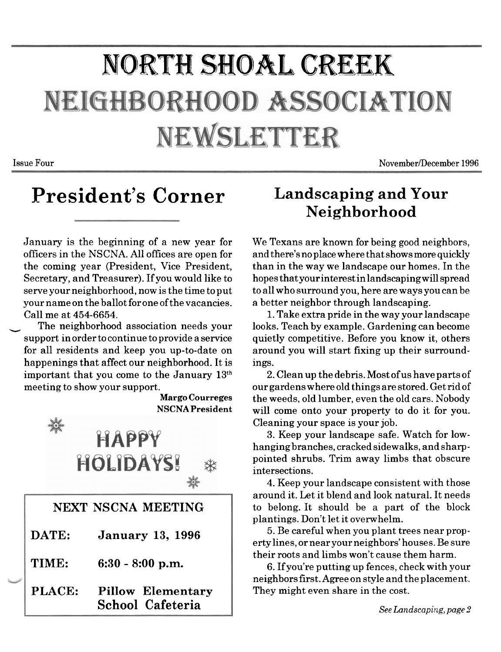## **NORTH SHOAL CREEK** NEIGHBORHOOD ASSOCIATION NEWSLETTER

**Issue Four November/December 1996** 

### **President's Corner Landscaping and Your**

January is the beginning of a new year for officers in the NSCNA. All offices are open for the coming year (President, Vice President, Secretary, and Treasurer). If you would like to serve your neighborhood, now is the time to put your name on the ballot for one of the vacancies. Call me at **454-6654.** 

The neighborhood association needs your support in order to continue to provide a service for all residents and keep you up-to-date on happenings that affect our neighborhood. It is important that you come to the January **13th**  meeting to show your support.

**Margo Courreges NSCNAPresident** 



## **Neighborhood**

We Texans are known for being good neighbors, and there's no place where that shows more quickly than in the way we landscape our homes. In the hopes that your interest in landscapingwill spread to all who surround you, here are ways you can be a better neighbor through landscaping.

1. Take extra pride in the way your landscape looks. Teach by example. Gardening can become quietly competitive. Before you know it, others around you will start fixing up their surroundings.

2. Clean up the debris. Most of us have parts of our gardens where old things are stored. Get ridof the weeds, old lumber, even the old cars. Nobody will come onto your property to do it for you. Cleaning your space is your job.

**3.** Keep your landscape safe. Watch for lowhanging branches, cracked sidewalks, and sharppointed shrubs. Trim away limbs that obscure intersections.

**4.** Keep your landscape consistent with those around it. Let it blend and look natural. It needs to belong. It should be a part of the block plantings. Don't let it overwhelm.

**5.** Be careful when you plant trees near property lines, or near your neighbors' houses. Be sure their roots and limbs won't cause them harm.

6. If you're putting up fences, check with your neighbors first. Agree on style and the placement. They might even share in the cost.

See Landscaping, page 2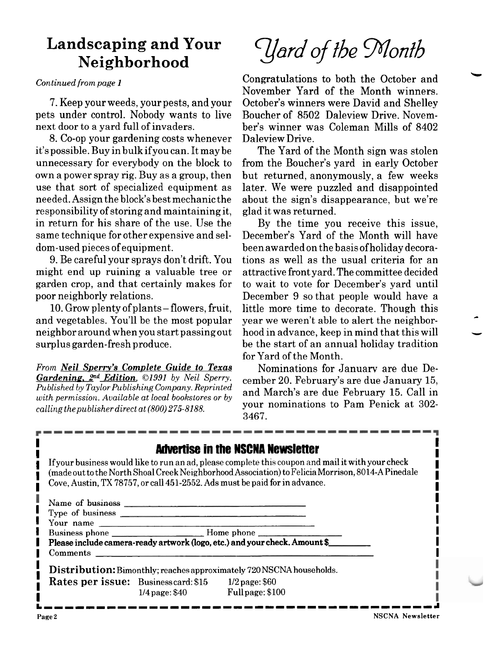# **Landscaping and Your**

pets under control. Nobody wants to live Boucher of 8502 Daleview Drive. Novemnext door to a yard full of invaders. ber's winner was Coleman Mills of 8402

8. Co-op your gardening costs whenever Daleview Drive.<br>it's possible. Buy in bulk if you can. It may be The Yard of unnecessary for everybody on the block to from the Boucher's yard in early October own a power spray rig. Buy as a group, then but returned, anonymously, a few weeks use that sort of specialized equipment as later. We were puzzled and disappointed needed. Assign the block's best mechanic the about the sign's disappearance, but we're responsibility of storing and maintaining it, glad it was returned. in return for his share of the use. Use the By the time you receive this issue, same technique for other expensive and sel- December's Yard of the Month will have dom-used pieces of equipment. been awarded on the basis of holiday decora-

might end up ruining a valuable tree or attractive front yard. The committee decided garden crop, and that certainly makes for to wait to vote for December's yard until poor neighborly relations. December 9 so that people would have a

and vegetables. You'll be the most popular neighbor around when you start passing out hood in advance, keep in mind that this will<br>surplus garden-fresh produce. be the start of an annual holiday tradition

From *Neil Sperry's Complete Guide to Texas* Mominations for January are due De-<br>**Gardening, 2<sup>nd</sup> Edition**, ©1991 by Neil Sperry. comber 20 February's are due January 15 *Gardening,*  $2^{na}$  *Edition,*  $\odot$ 1991 by Neil Sperry. cember 20. February's are due January 15, Published by Taylor Publishing Company. Reprinted correct Merculius February 15, Call in Published by Taylor Publishing Company. Reprinted<br>with permission. Available at local bookstores or by<br>wour nominations to Pam Penick at 302calling the publisher direct at  $(800)$  275-8188.

dscaping and Your *I dard of the Month*<br>Neighborhood

Continued from page 1 Congratulations to both the October and November Yard of the Month winners. 7. Keep your weeds, your pests, and your October's winners were David and Shelley

The Yard of the Month sign was stolen

9. Be careful your sprays don't drift. You tions as well as the usual criteria for an 10. Grow plenty of plants – flowers, fruit, little more time to decorate. Though this d vegetables. You'll be the most popular year we weren't able to alert the neighborbe the start of an annual holiday tradition for Yard of the Month.

3467.

|                                   | <b>Advertise in the NSCNA Newsletter</b><br>Cove, Austin, TX 78757, or call 451-2552. Ads must be paid for in advance. | If your business would like to run an ad, please complete this coupon and mail it with your check<br>(made out to the North Shoal Creek Neighborhood Association) to Felicia Morrison, 8014-A Pinedale |
|-----------------------------------|------------------------------------------------------------------------------------------------------------------------|--------------------------------------------------------------------------------------------------------------------------------------------------------------------------------------------------------|
| Name of business <u>expresses</u> |                                                                                                                        |                                                                                                                                                                                                        |
|                                   |                                                                                                                        |                                                                                                                                                                                                        |
| Your name                         |                                                                                                                        |                                                                                                                                                                                                        |
|                                   |                                                                                                                        |                                                                                                                                                                                                        |
|                                   | Please include camera-ready artwork (logo, etc.) and your check. Amount \$                                             |                                                                                                                                                                                                        |
| Comments                          |                                                                                                                        |                                                                                                                                                                                                        |
|                                   | <b>Distribution:</b> Bimonthly; reaches approximately 720 NSCNA households.                                            |                                                                                                                                                                                                        |
|                                   | <b>Rates per issue:</b> Businesscard: \$15 1/2 page: \$60                                                              |                                                                                                                                                                                                        |
|                                   | $1/4$ page: \$40 Full page: \$100                                                                                      |                                                                                                                                                                                                        |

**LIIIIIIIIIIIIIIIIIIIIIIIIIIIIIIIIIIIIIA**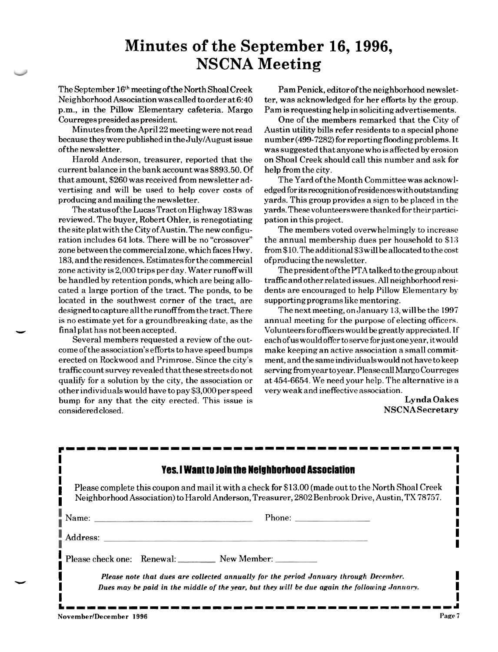### **Minutes of the September 16,1996, NSCNA Meeting**

The September 16'h meeting ofthe North Shoal Creek Neighborhood Association was called to order at 6:40 p.m., in the Pillow Elementary cafeteria. Margo Courreges presided as president.

Minutes from the April 22 meeting were not read because they were published in the July/August issue ofthe newsletter.

Harold Anderson, treasurer, reported that the current balance in the bank account was \$893.50. Of that amount, \$260 was received from newsletter advertising and will be used to help cover costs of producing and mailing the newsletter.

The status ofthe LucasTract on Highway 183 was reviewed. The buyer, Robert Ohler, is renegotiating the site plat with the City of Austin. The new configuration includes 64 lots. There will be no "crossover" zone between the commercial zone, which faces Hwy. 183, and the residences. Estimates for the commercial zone activity is 2,000 trips per day. Water runoffwill be handled by retention ponds, which are being allocated a large portion of the tract. The ponds, to be located in the southwest corner of the tract, are designed to capture all the runofffiom the tract.There is no estimate yet for a groundbreaking date, as the **llr** final plat has not been accepted.

Several members requested a review of the outcome of the association's efforts to have speed bumps erected on Rockwood and Primrose. Since the city's traffic count survey revealed that these streets do not qualify for a solution by the city, the association or other individuals would have to pay \$3,000 per speed bump for any that the city erected. This issue is considered closed.

Pam Penick, editor of the neighborhood newsletter, was acknowledged for her efforts by the group. Pam is requesting help in soliciting advertisements.

One of the members remarked that the City of Austin utility bills refer residents to a special phone number (499-7282) for reporting flooding problems. It was suggested that anyone who is affected by erosion on Shoal Creek should call this number and ask for help from the city.

The Yard of the Month Committee was acknowledged for its **recognitionofresidenceswithoutstan&ng**  yards. This group provides a sign to be placed in the yards. These volunteers were thanked for their participation in this project.

The members voted overwhelmingly to increase the annual membership dues per household to **\$13**   $from $10.$  The additional  $$3$  will be allocated to the cost ofproducing the newsletter.

The president ofthe PTA talked to the group about traffic and other related issues. All neighborhood residents are encouraged to help Pillow Elementary by supportingprograms like mentoring.

The next meeting, on January 13, will be the 1997 annual meeting for the purpose of electing officers. Volunteersforofficerswould be greatly appreciated. If each of us would offer to serve for just one year, it would make keeping an active association a small commitment, and the same individuals would not have to keep serving from year to year. Please call Margo Courreges at 454-6654. We need your help. The alternative is a very weak and ineffective association.

> Lynda Oakes NSCNASecretary

| <b>Yes. I Want to Join the Neighborhood Association</b>                                                                                                                                                |
|--------------------------------------------------------------------------------------------------------------------------------------------------------------------------------------------------------|
| Please complete this coupon and mail it with a check for \$13.00 (made out to the North Shoal Creek<br>Neighborhood Association) to Harold Anderson, Treasurer, 2802 Benbrook Drive, Austin, TX 78757. |
|                                                                                                                                                                                                        |
|                                                                                                                                                                                                        |
| Please check one: Renewal: New Member:                                                                                                                                                                 |